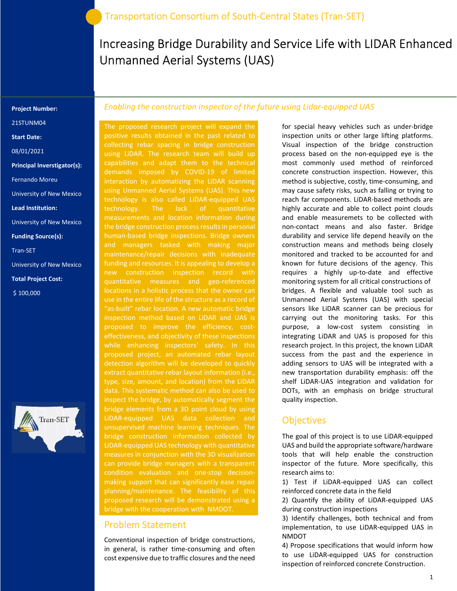# Increasing Bridge Durability and Service Life with LIDAR Enhanced Unmanned Aerial Systems (UAS)

#### Project Number:

21STUNM04

Start Date:

08/01/2021

Principal Inverstigator(s):

Fernando Moreu

University of New Mexico

Lead Institution:

University of New Mexico

Funding Source(s):

Tran-SET

University of New Mexico

Total Project Cost:

\$ 100,000



#### Enabling the construction inspector of the future using Lidar-equipped UAS

 inspection method based on LiDAR and UAS is The proposed research project will expand the positive results obtained in the past related to collecting rebar spacing in bridge construction using LiDAR. The research team will build up capabilities and adapt them to the technical interaction by automatizing the LiDAR scanning using Unmanned Aerial Systems (UAS). This new technology is also called LiDAR-equipped UAS technology. The lack of quantitative measurements and location information during the bridge construction process results in personal human-based bridge inspections. Bridge owners and managers tasked with making major funding and resources. It is appealing to develop a new construction inspection record with quantitative measures and geo-referenced use in the entire life of the structure as a record of "as-built" rebar location. A new automatic bridge effectiveness, and objectivity of these inspections while enhancing inspectors' safety. In this proposed project, an automated rebar layout detection algorithm will be developed to quickly type, size, amount, and location) from the LiDAR inspect the bridge, by automatically segment the bridge elements from a 3D point cloud by using LiDAR-equipped UAS data collection and unsupervised machine learning techniques. The bridge construction information collected by LiDAR-equipped UAS technology with quantitative can provide bridge managers with a transparent condition evaluation and one-stop decisionmaking support that can significantly ease repair planning/maintenance. The feasibility of this proposed research will be demonstrated using a bridge with the cooperation with NMDOT.

#### Problem Statement

Conventional inspection of bridge constructions, in general, is rather time-consuming and often cost expensive due to traffic closures and the need

for special heavy vehicles such as under-bridge inspection units or other large lifting platforms. Visual inspection of the bridge construction process based on the non-equipped eye is the most commonly used method of reinforced concrete construction inspection. However, this method is subjective, costly, time-consuming, and may cause safety risks, such as falling or trying to reach far components. LiDAR-based methods are highly accurate and able to collect point clouds and enable measuremets to be collected with non-contact means and also faster. Bridge durability and service life depend heavily on the construction means and methods being closely monitored and tracked to be accounted for and known for future decisions of the agency. This requires a highly up-to-date and effective monitoring system for all critical constructions of bridges. A flexible and valuable tool such as Unmanned Aerial Systems (UAS) with special sensors like LiDAR scanner can be precious for carrying out the monitoring tasks. For this purpose, a low-cost system consisting in integrating LiDAR and UAS is proposed for this research project. In this project, the known LiDAR success from the past and the experience in adding sensors to UAS will be integrated with a new transportation durability emphasis: off the shelf LiDAR-UAS integration and validation for DOTs, with an emphasis on bridge structural quality inspection.

#### **Objectives**

The goal of this project is to use LiDAR-equipped UAS and build the appropriate software/hardware tools that will help enable the construction inspector of the future. More specifically, this research aims to:

1) Test if LiDAR-equipped UAS can collect reinforced concrete data in the field

2) Quantify the ability of LiDAR-equipped UAS during construction inspections

3) Identify challenges, both technical and from implementation, to use LiDAR-equipped UAS in NMDOT

4) Propose specifications that would inform how to use LiDAR-equipped UAS for construction inspection of reinforced concrete Construction.